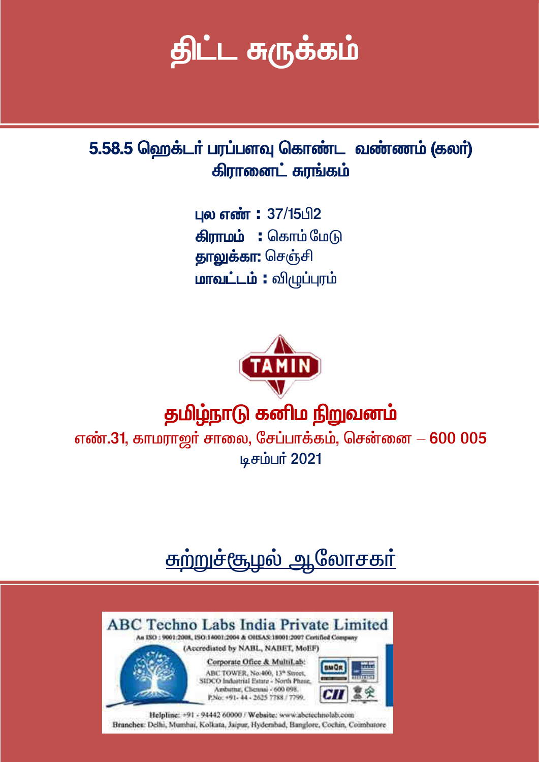# திட்ட சுருக்கம்

5.58.5 ஹெக்டர் பரப்பளவு கொண்ட வண்ணம் (கலர்) கிரானைட் சுரங்கம்

> புல எண்: 37/15பி2 **கிராமம் :** கொம்மேடு தாலுக்கா: செஞ்சி மாவட்டம் : விழுப்புரம்



## தமிழ்நாடு கனிம நிறுவனம்

எண்.31, காமராஜர் சாலை, சேப்பாக்கம், சென்னை  $-600005$ டிசம்பர் 2021

## <u>சுற்றுச்சூழல் ஆலோசகா்</u>

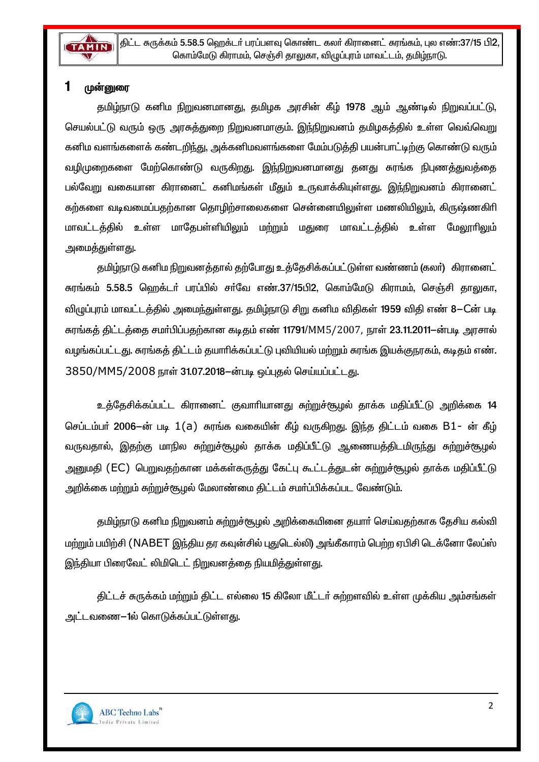

#### 1 முன்னுரை

தமிழ்நாடு கனிம நிறுவனமானது, தமிழக அரசின் கீழ் 1978 ஆம் ஆண்டில் நிறுவப்பட்டு, செயல்பட்டு வரும் ஒரு அரசுத்துறை நிறுவனமாகும். இந்நிறுவனம் தமிழகத்தில் உள்ள வெவ்வெறு கனிம வளங்களைக் கண்டறிந்து, அக்கனிமவளங்களை மேம்படுத்தி பயன்பாட்டிற்கு கொண்டு வரும் வழிமுறைகளை மேற்கொண்டு வருகிறது. இந்நிறுவனமானது தனது சுரங்க நிபுணத்துவத்தை பல்வேறு வகையான கிரானைட் கனிமங்கள் மீதும் உருவாக்கியுள்ளது. இந்நிறுவனம் கிரானைட் கற்களை வடிவமைப்பதற்கான தொழிற்சாலைகளை சென்னையிலுள்ள மணலியிலும், கிருஷ்ணகிரி மாவட்டத்தில் உள்ள மாதேபள்ளியிலும் மற்றும் <u>மதுரை மாவட்டத்தில் உள்ள</u> மேலாரிலம் <u>அமைத்துள்ளது.</u>

தமிழ்நாடு கனிம நிறுவனத்தால் தற்போது உத்தேசிக்கப்பட்டுள்ள வண்ணம் (கலர்) கிரானைட் சுரங்கம் 5.58.5 ஹெக்டா் பரப்பில் சா்வே எண்.37/15பி2, கொம்மேடு கிராமம், செஞ்சி தாலுகா, விழுப்புரம் மாவட்டத்தில் அமைந்துள்ளது. தமிழ்நாடு சிறு கனிம விதிகள் 1959 விதி எண் 8–Cன் படி சுரங்கத் திட்டத்தை சமர்பிப்பதற்கான கடிதம் எண் 11791/MM5/2007, நாள் 23.11.2011–ன்படி அரசால் வழங்கப்பட்டது. சுரங்கத் திட்டம் தயாரிக்கப்பட்டு புவியியல் மற்றும் சுரங்க இயக்குநரகம், கடிதம் எண். 3850/MM5/2008 நாள் 31.07.2018-ன்படி ஒப்புதல் செய்யப்பட்டது.

உத்தேசிக்கப்பட்ட கிரானைட் குவாரியானது சுற்றுச்சூழல் தாக்க மதிப்பீட்டு அறிக்கை 14 செப்டம்பர் 2006-ன் படி 1(a) சுரங்க வகையின் கீழ் வருகிறது. இந்த திட்டம் வகை B1- ன் கீழ் வருவதால், இதற்கு மாநில சுற்றுச்சூழல் தாக்க மதிப்பீட்டு ஆணையத்திடமிருந்து சுற்றுச்சூழல் அனுமதி (EC) பெறுவதற்கான மக்கள்கருத்து கேட்பு கூட்டத்துடன் சுற்றுச்சூழல் தாக்க மதிப்பீட்டு அறிக்கை மற்றும் சுற்றுச்சூழல் மேலாண்மை திட்டம் சமா்ப்பிக்கப்பட வேண்டும்.

தமிழ்நாடு கனிம நிறுவனம் சுற்றுச்சூழல் அறிக்கையினை தயார் செய்வதற்காக தேசிய கல்வி மற்றும் பயிற்சி (NABET இந்திய தர கவுன்சில் புதுடெல்லி) அங்கீகாரம் பெற்ற ஏபிசி டெக்னோ லேப்ஸ் இந்தியா பிரைவேட் லிமிடெட் நிறுவனத்தை நியமித்துள்ளது.

திட்டச் சுருக்கம் மற்றும் திட்ட எல்லை 15 கிலோ மீட்டர் சுற்றளவில் உள்ள முக்கிய அம்சங்கள் அட்டவணை—1ல் கொடுக்கப்பட்டுள்ளது.

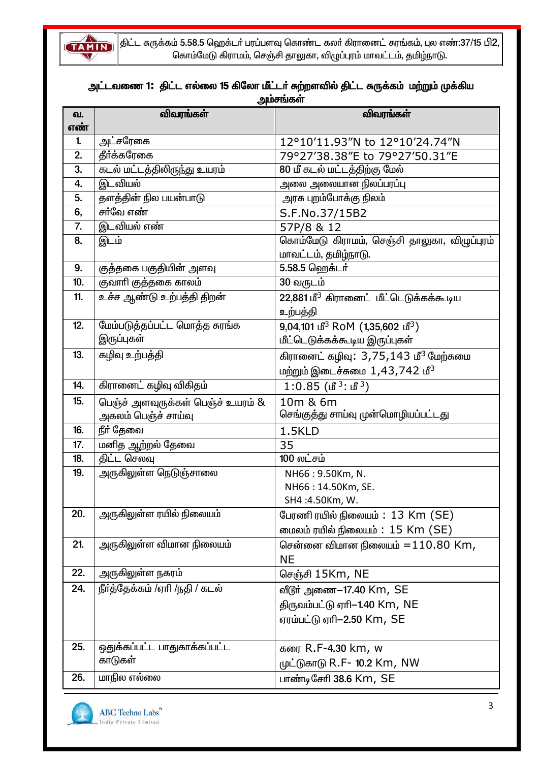

 $\parallel$ திட்ட சுருக்கம் 5.58.5 ஹெக்டா் பரப்பளவு கொண்ட கலா் கிரானைட் சுரங்கம், புல எண்:37/15 பி2, கொம்மேடு கிராமம், செஞ்சி தாலுகா, விழுப்புரம் மாவட்டம், தமிழ்நாடு.

## அட்டவணை 1: திட்ட எல்லை 15 கிலோ மீட்டர் சுற்றளவில் திட்ட சுருக்கம் மற்றும் முக்கிய<br>அம்சங்கள்

| வ.  | விவரங்கள்                          | ،،ەھسە بەسىت<br>விவரங்கள்                                  |
|-----|------------------------------------|------------------------------------------------------------|
| எண் |                                    |                                                            |
| 1.  | அட்சரேகை                           | 12°10'11.93"N to 12°10'24.74"N                             |
| 2.  | தீர்க்கரேகை                        | 79°27'38.38"E to 79°27'50.31"E                             |
| 3.  | <u>கடல் மட்டத்திலிருந்து உயரம்</u> | 80 மீ கடல் மட்டத்திற்கு மேல்                               |
| 4.  | இடவியல்                            | அலை அலையான நிலப்பரப்பு                                     |
| 5.  | தளத்தின் நில பயன்பாடு              | அரசு புறம்போக்கு நிலம்                                     |
| 6,  | சா்வே எண்                          | S.F.No.37/15B2                                             |
| 7.  | இடவியல் எண்                        | 57P/8 & 12                                                 |
| 8.  | இடம்                               | கொம்மேடு கிராமம், செஞ்சி தாலுகா, விழுப்புரம்               |
|     |                                    | மாவட்டம், தமிழ்நாடு.                                       |
| 9.  | குத்தகை பகுதியின் அளவு             | 5.58.5 ஹெக்டர்                                             |
| 10. | குவாரி குத்தகை காலம்               | 30 வருடம்                                                  |
| 11. | உச்ச ஆண்டு உற்பத்தி திறன்          | 22,881 மீ <sup>3</sup> கிரானைட் மீட்டெடுக்கக்கூடிய         |
|     |                                    | உற்பத்தி                                                   |
| 12. | மேம்படுத்தப்பட்ட மொத்த சுரங்க      | $9,04,101$ மீ <sup>3</sup> RoM (1,35,602 மீ <sup>3</sup> ) |
|     | இருப்புகள்                         | மீட்டெடுக்கக்கூடிய இருப்புகள்                              |
| 13. | கழிவு உற்பத்தி                     | கிரானைட் கழிவு: 3,75,143 மீ <sup>3</sup> மேற்சுமை          |
|     |                                    | மற்றும் இடைச்சுமை 1,43,742 மீ <sup>3</sup>                 |
| 14. | கிரானைட் கழிவு விகிதம்             | 1:0.85 (மீ <sup>3</sup> : மீ <sup>3</sup> )                |
| 15. | பெஞ்ச் அளவுருக்கள் பெஞ்ச் உயரம் &  | 10m & 6m                                                   |
|     | அகலம் பெஞ்ச் சாய்வு                | செங்குத்து சாய்வு முன்மொழியப்பட்டது                        |
| 16. | <u>நீா் தேவை</u>                   | 1.5KLD                                                     |
| 17. | மனித ஆற்றல் தேவை                   | 35                                                         |
| 18. | திட்ட செலவு                        | 100 லட்சம்                                                 |
| 19. | அருகிலுள்ள நெடுஞ்சாலை              | NH66: 9.50Km, N.                                           |
|     |                                    | NH66: 14.50Km, SE.                                         |
|     |                                    | SH4:4.50Km, W.                                             |
| 20. | அருகிலுள்ள ரயில் நிலையம்           | பேரணி ரயில் நிலையம் : 13 Km (SE)                           |
|     |                                    | மைலம் ரயில் நிலையம்: 15 Km (SE)                            |
| 21. | அருகிலுள்ள விமான நிலையம்           | சென்னை விமான நிலையம் $=$ $110.80$ Km,                      |
|     |                                    | <b>NE</b>                                                  |
| 22. | அருகிலுள்ள நகரம்                   | செஞ்சி 15Km, NE                                            |
| 24. | நீா்த்தேக்கம் /ஏாி /நதி / கடல்     | வீடூர் அணை–17.40 Km, SE                                    |
|     |                                    | திருவம்பட்டு ஏரி-1.40 Km, NE                               |
|     |                                    | ஏரம்பட்டு ஏரி-2.50 Km, SE                                  |
|     |                                    |                                                            |
| 25. | ஒதுக்கப்பட்ட பாதுகாக்கப்பட்ட       | கரை R.F-4.30 km, w                                         |
|     | காடுகள்                            | முட்டுகாடு R.F- 10.2 Km, NW                                |
| 26. | மாநில எல்லை                        | பாண்டிசேரி 38.6 Km, SE                                     |

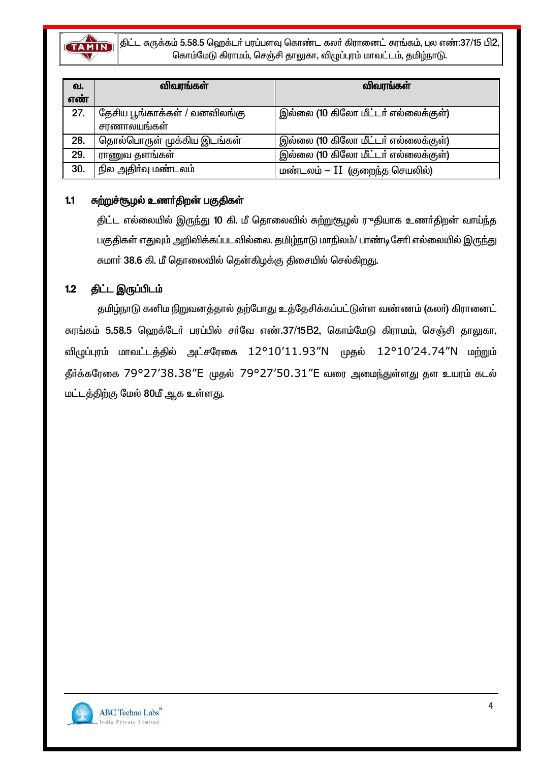

திட்ட சுருக்கம் 5.58.5 ஹெக்டா் பரப்பளவு கொண்ட கலா் கிரானைட் சுரங்கம், புல எண்:37/15 பி2, கொம்மேடு கிராமம், செஞ்சி தாலுகா, விழுப்புரம் மாவட்டம், தமிழ்நாடு.

| வ.  | விவரங்கள்                     | விவரங்கள்                           |
|-----|-------------------------------|-------------------------------------|
| எண் |                               |                                     |
| 27. | தேசிய பூங்காக்கள் / வனவிலங்கு | இல்லை (10 கிலோ மீட்டர் எல்லைக்குள்) |
|     | சரணாலயங்கள்                   |                                     |
| 28. | தொல்பொருள் முக்கிய இடங்கள்    | இல்லை (10 கிலோ மீட்டர் எல்லைக்குள்) |
| 29. | ராணுவ தளங்கள்                 | இல்லை (10 கிலோ மீட்டர் எல்லைக்குள்) |
| 30. | நில அதிா்வு மண்டலம்           | மண்டலம் – II (குறைந்த செயலில்)      |

#### $1.1$ சுற்றுச்சூழல் உணர்திறன் பகுதிகள்

திட்ட எல்லையில் இருந்து 10 கி. மீ தொலைவில் சுற்றுசூழல் ருதியாக உணர்திறன் வாய்ந்த பகுதிகள் எதுவும் அறிவிக்கப்படவில்லை. தமிழ்நாடு மாநிலம்/ பாண்டிசேரி எல்லையில் இருந்து சுமார் 38.6 கி. மீ தொலைவில் தென்கிழக்கு திசையில் செல்கிறது.

#### திட்ட இருப்பிடம்  $1.2$

தமிழ்நாடு கனிம நிறுவனத்தால் தற்போது உத்தேசிக்கப்பட்டுள்ள வண்ணம் (கலா்) கிரானைட் சுரங்கம் 5.58.5 ஹெக்டேர் பரப்பில் சர்வே எண்.37/15B2, கொம்மேடு கிராமம், செஞ்சி தாலுகா, விழுப்புரம் மாவட்டத்தில் அட்சரேகை 12°10'11.93"N முதல் 12°10'24.74"N மற்றும் தீர்க்கரேகை 79°27'38.38"E முதல் 79°27'50.31"E வரை அமைந்துள்ளது தள உயரம் கடல் மட்டத்திற்கு மேல் 80மீ ஆக உள்ளது.

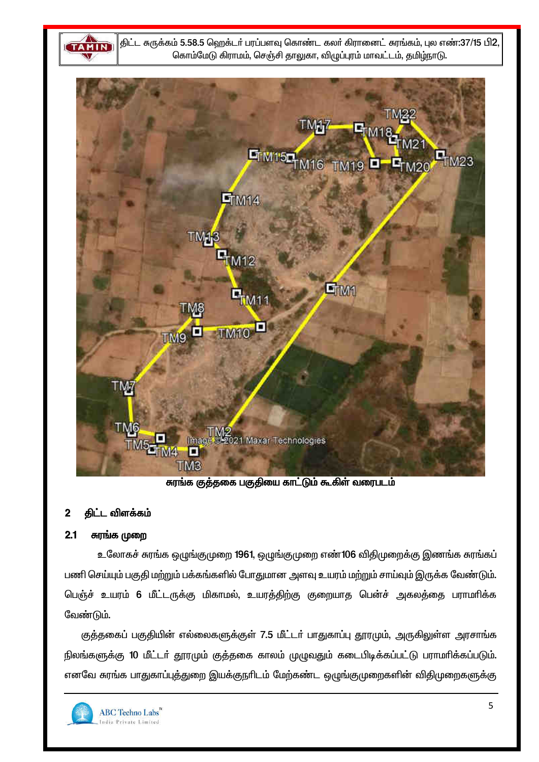**TAMIN** 

திட்ட சுருக்கம் 5.58.5 ஹெக்டர் பரப்பளவு கொண்ட கலர் கிரானைட் சுரங்கம், புல எண்:37/15 பி2, கொம்மேடு கிராமம், செஞ்சி தாலுகா, விழுப்புரம் மாவட்டம், தமிழ்நாடு.



சுரங்க குத்தகை பகுதியை காட்டும் கூகிள் வரைபடம்

#### திட்ட விளக்கம்  $\mathbf 2$

#### $2.1$ சுரங்க முறை

உலோகச் சுரங்க ஒழுங்குமுறை 1961, ஒழுங்குமுறை எண்106 விதிமுறைக்கு இணங்க சுரங்கப் பணி செய்யும் பகுதி மற்றும் பக்கங்களில் போதுமான அளவு உயரம் மற்றும் சாய்வும் இருக்க வேண்டும். பெஞ்ச் உயரம் 6 மீட்டருக்கு மிகாமல், உயரத்திற்கு குறையாத பென்ச் அகலத்தை பராமரிக்க வேண்டும்.

குத்தகைப் பகுதியின் எல்லைகளுக்குள் 7.5 மீட்டர் பாதுகாப்பு தூரமும், அருகிலுள்ள அரசாங்க நிலங்களுக்கு 10 மீட்டர் தூரமும் குத்தகை காலம் முழுவதும் கடைபிடிக்கப்பட்டு பராமரிக்கப்படும். எனவே சுரங்க பாதுகாப்புத்துறை இயக்குநரிடம் மேற்கண்ட ஒழுங்குமுறைகளின் விதிமுறைகளுக்கு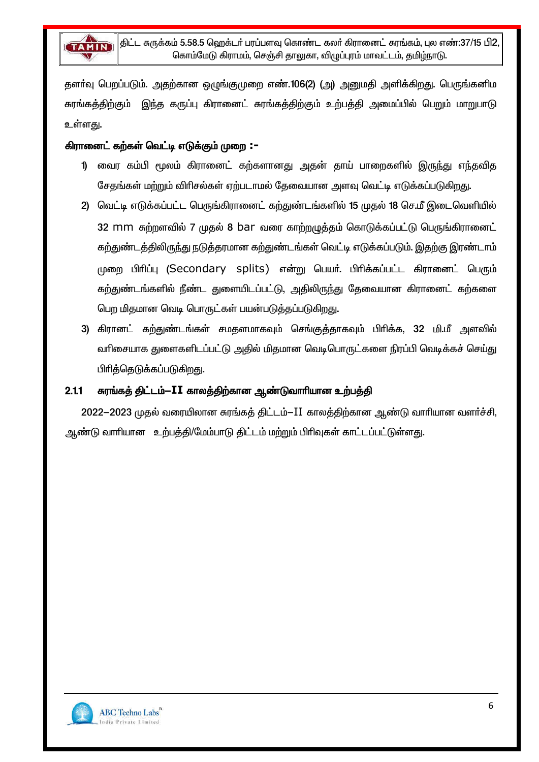

தளா்வு பெறப்படும். அதற்கான ஒழுங்குமுறை எண்.106(2) (அ) அனுமதி அளிக்கிறது. பெருங்கனிம சுரங்கத்திற்கும் இந்த கருப்பு கிரானைட் சுரங்கத்திற்கும் உற்பத்தி அமைப்பில் பெறும் மாறுபாடு உள்ளகு.

### கிரானைட் கற்கள் வெட்டி எடுக்கும் முறை :–

- 1) வைர கம்பி மூலம் கிரானைட் கற்களானது அதன் தாய் பாறைகளில் இருந்து எந்தவித சேதங்கள் மற்றும் விரிசல்கள் ஏற்படாமல் தேவையான அளவு வெட்டி எடுக்கப்படுகிறது.
- 2) வெட்டி எடுக்கப்பட்ட பெருங்கிரானைட் கற்துண்டங்களில் 15 முதல் 18 செ.மீ இடைவெளியில் 32 mm சுற்றளவில் 7 முதல் 8 bar வரை காற்றழுத்தம் கொடுக்கப்பட்டு பெருங்கிரானைட் கற்துண்டத்திலிருந்து நடுத்தரமான கற்துண்டங்கள் வெட்டி எடுக்கப்படும். இதற்கு இரண்டாம் முறை பிரிப்பு (Secondary splits) என்று பெயர். பிரிக்கப்பட்ட கிரானைட் பெரும் கற்துண்டங்களில் நீண்ட துளையிடப்பட்டு, அதிலிருந்து தேவையான கிரானைட் கற்களை பெற மிதமான வெடி பொருட்கள் பயன்படுத்தப்படுகிறது.
- 3) கிரானட் கற்துண்டங்கள் சமதளமாகவும் செங்குத்தாகவும் பிரிக்க, 32 மி.மீ அளவில் வரிசையாக துளைகளிடப்பட்டு அதில் மிதமான வெடிபொருட்களை நிரப்பி வெடிக்கச் செய்து பிரித்தெடுக்கப்படுகிறது.

#### $2.1.1$ சுரங்கத் திட்டம்-II காலத்திற்கான ஆண்டுவாரியான உற்பத்தி

2022–2023 முதல் வரையிலான சுரங்கத் திட்டம்–II காலத்திற்கான ஆண்டு வாரியான வளர்ச்சி, ஆண்டு வாரியான உற்பத்தி/மேம்பாடு திட்டம் மற்றும் பிரிவுகள் காட்டப்பட்டுள்ளது.

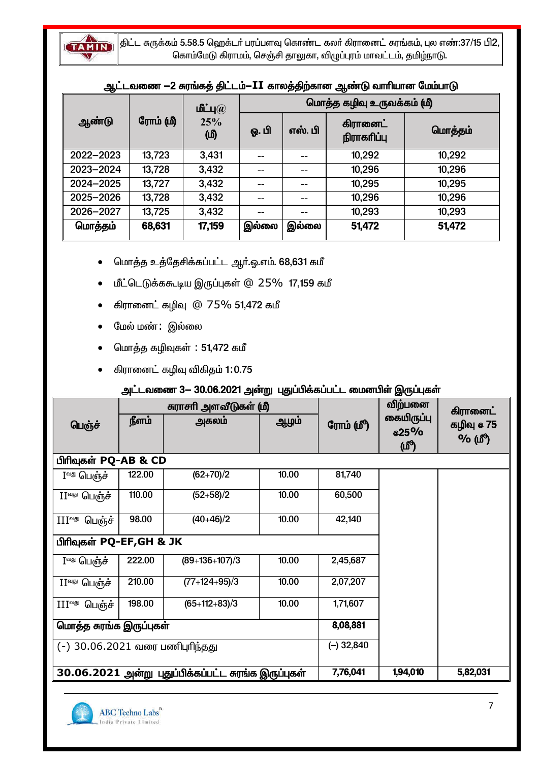

 $\Big|$ திட்ட சுருக்கம் 5.58.5 ஹெக்டா் பரப்பளவு கொண்ட கலா் கிரானைட் சுரங்கம், புல எண்:37/15 பி $2,$ கொம்மேடு கிராமம், செஞ்சி தாலுகா, விழுப்புரம் மாவட்டம், தமிழ்நாடு.

|           |          | மீட்பு $(a)$ | மொத்த கழிவு உருவக்கம் (மீ) |         |                                |         |
|-----------|----------|--------------|----------------------------|---------|--------------------------------|---------|
| ஆண்டு     | ரோம் (மி | 25%<br>மு)   | ஓ. பி                      | எஸ். பி | <b>கிரானைட்</b><br>நிராகரிப்பு | மொத்தம் |
| 2022-2023 | 13,723   | 3,431        |                            |         | 10,292                         | 10,292  |
| 2023-2024 | 13,728   | 3,432        |                            | --      | 10,296                         | 10,296  |
| 2024-2025 | 13,727   | 3,432        |                            | --      | 10,295                         | 10,295  |
| 2025-2026 | 13,728   | 3,432        |                            | --      | 10,296                         | 10,296  |
| 2026-2027 | 13,725   | 3,432        |                            | --      | 10,293                         | 10,293  |
| மொத்தம்   | 68,631   | 17,159       | இல்லை                      | இல்லை   | 51,472                         | 51,472  |

#### $\mathbf{A}$  $\mathbf{r} = \mathbf{r} \cdot \mathbf{r}$

- மொத்த உத்தேசிக்கப்பட்ட ஆர்.ஓ.எம். 68,631 கமீ
- மீட்டெடுக்ககூடிய இருப்புகள் @ 25% 17,159 கமீ
- கிரானைட் கழிவு @ 75% 51,472 கமீ
- மேல் மண்: இல்லை
- மொத்த கழிவுகள் : 51,472 கமீ
- கிரானைட் கழிவு விகிதம் 1:0.75

### அட்டவணை 3- 30.06.2021 அன்று புதுப்பிக்கப்பட்ட மைனபிள் இருப்புகள்

|                                 |        | சுராசரி அளவீடுகள் (மீ)                               |       |              | விற்பனை                          | கிரானைட்             |
|---------------------------------|--------|------------------------------------------------------|-------|--------------|----------------------------------|----------------------|
| பெஞ்ச்                          | நீளம்  | அகலம்                                                | ஆழம்  | ரோம் (மீீ)   | கையிருப்பு<br><b>@25%</b><br>(ഥീ | கழிவு @ 75<br>% (மீ) |
| பிரிவுகள் PQ-AB & CD            |        |                                                      |       |              |                                  |                      |
| I <sup>வது</sup> பெஞ்ச்         | 122.00 | $(62+70)/2$                                          | 10.00 | 81,740       |                                  |                      |
| $II^{\omega\omega}$ பெரு்ச்     | 110.00 | $(52+58)/2$                                          | 10.00 | 60,500       |                                  |                      |
| பெஞ்ச்<br>$\coprod$ வது         | 98.00  | $(40+46)/2$                                          | 10.00 | 42,140       |                                  |                      |
| பிரிவுகள் PQ-EF,GH & JK         |        |                                                      |       |              |                                  |                      |
| $I^{\text{aug}}$ பெரு்ச்        | 222.00 | $(89+136+107)/3$                                     | 10.00 | 2,45,687     |                                  |                      |
| $II^{\text{alg}}$ பெரு்ச்       | 210.00 | $(77+124+95)/3$                                      | 10.00 | 2,07,207     |                                  |                      |
| $III$ <sup>வது</sup> பெஞ்ச்     | 198.00 | $(65+112+83)/3$                                      | 10.00 | 1,71,607     |                                  |                      |
| மொத்த சுரங்க இருப்புகள்         |        |                                                      |       | 8,08,881     |                                  |                      |
| (-) 30.06.2021 வரை பணிபுரிந்தது |        |                                                      |       | $(-)$ 32,840 |                                  |                      |
|                                 |        | 30.06.2021 அன்று புதுப்பிக்கப்பட்ட சுரங்க இருப்புகள் |       | 7,76,041     | 1,94,010                         | 5,82,031             |

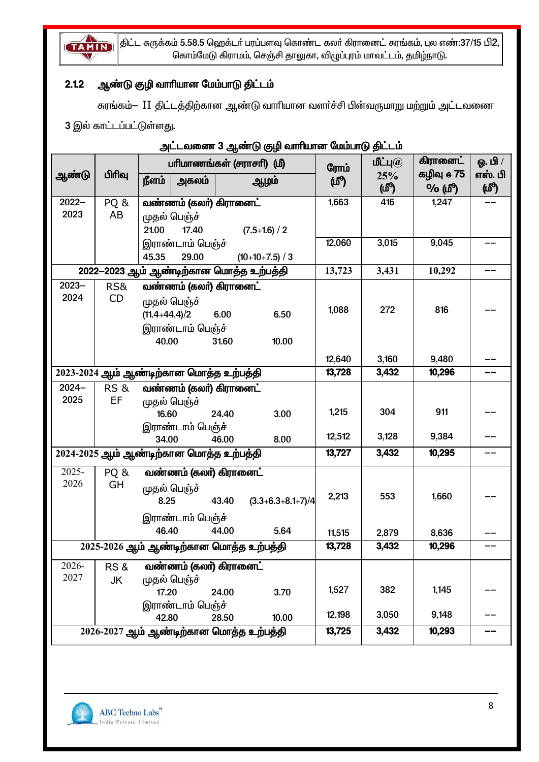

 $\parallel$ திட்ட சுருக்கம் 5.58.5 ஹெக்டா் பரப்பளவு கொண்ட கலா் கிரானைட் சுரங்கம், புல எண்:37/15 பி2, கொம்மேடு கிராமம், செஞ்சி தாலுகா, விழுப்புரம் மாவட்டம், தமிழ்நாடு.

### 2.1.2 ஆண்டு குழி வாரியான மேம்பாடு திட்டம்

சுரங்கம்— II திட்டத்திற்கான ஆண்டு வாரியான வளர்ச்சி பின்வருமாறு மற்றும் அட்டவணை

3 இல் காட்டப்பட்டுள்ளது.

|                                         | <u>2020.0000 - Calendar Control de Calendar de Calendar (n</u> . 2011-1912)<br>பரிமாணங்கள் (சராசரி) (மீ) |                   |                                         |       |                                         |        | மீட்பு $\widehat{a}$ | கிரானைட்   | ஓ. பி / |
|-----------------------------------------|----------------------------------------------------------------------------------------------------------|-------------------|-----------------------------------------|-------|-----------------------------------------|--------|----------------------|------------|---------|
| ஆண்டு                                   | பிரிவு                                                                                                   |                   |                                         |       |                                         | ரோம்   | 25%                  | கழிவு @ 75 | எஸ். பி |
|                                         |                                                                                                          | நீளம்             | அகலம்                                   |       | ஆழம்                                    | (மீ)   | மூ                   | % (ሆී)     | (மீ)    |
| $2022 -$                                | PQ&                                                                                                      |                   | வண்ணம் (கலர்) கிரானைட்                  |       |                                         | 1,663  | 416                  | 1,247      |         |
| 2023                                    | AB                                                                                                       |                   | முதல் பெஞ்ச்                            |       |                                         |        |                      |            |         |
|                                         |                                                                                                          | 21.00             | 17.40                                   |       | $(7.5+1.6) / 2$                         |        |                      |            |         |
|                                         |                                                                                                          |                   | இராண்டாம் பெஞ்ச்                        |       |                                         | 12,060 | 3,015                | 9,045      |         |
|                                         |                                                                                                          | 45.35             | 29.00                                   |       | $(10+10+7.5) / 3$                       |        |                      |            |         |
|                                         |                                                                                                          |                   |                                         |       | 2022-2023 ஆம் ஆண்டிற்கான மொத்த உற்பத்தி | 13,723 | 3,431                | 10,292     |         |
| $2023 -$                                | RS&                                                                                                      |                   | வண்ணம் (கலர்) கிரானைட்                  |       |                                         |        |                      |            |         |
| 2024                                    | CD                                                                                                       |                   | முதல் பெஞ்ச்                            |       |                                         |        |                      |            |         |
|                                         |                                                                                                          | $(11.4 + 44.4)/2$ |                                         | 6.00  | 6.50                                    | 1,088  | 272                  | 816        |         |
|                                         |                                                                                                          |                   | இராண்டாம் பெஞ்ச்                        |       |                                         |        |                      |            |         |
|                                         |                                                                                                          | 40.00             |                                         | 31.60 | 10.00                                   |        |                      |            |         |
|                                         |                                                                                                          |                   |                                         |       |                                         | 12,640 | 3,160                | 9,480      |         |
|                                         |                                                                                                          |                   | 2023-2024 ஆம் ஆண்டிற்கான மொத்த உற்பத்தி |       |                                         | 13,728 | 3,432                | 10,296     |         |
| $2024 -$                                | <b>RS &amp;</b>                                                                                          |                   | வண்ணம் (கலா்) கிரானைட்                  |       |                                         |        |                      |            |         |
| 2025                                    | EF                                                                                                       |                   | முதல் பெஞ்ச்                            |       |                                         |        |                      |            |         |
|                                         |                                                                                                          | 16.60             |                                         | 24.40 | 3.00                                    | 1,215  | 304                  | 911        |         |
|                                         |                                                                                                          |                   | இராண்டாம் பெஞ்ச்                        |       |                                         | 12,512 | 3,128                | 9,384      |         |
|                                         |                                                                                                          | 34.00             |                                         | 46.00 | 8.00                                    |        |                      |            |         |
|                                         |                                                                                                          |                   | 2024-2025 ஆம் ஆண்டிற்கான மொத்த உற்பத்தி |       |                                         | 13,727 | 3,432                | 10,295     |         |
| 2025-                                   | PQ &                                                                                                     |                   | வண்ணம் (கலா்) கிரானைட்                  |       |                                         |        |                      |            |         |
| 2026                                    | GH                                                                                                       |                   | முதல் பெஞ்ச்                            |       |                                         |        |                      |            |         |
|                                         |                                                                                                          | 8.25              |                                         |       | $43.40$ $(3.3+6.3+8.1+7)/4$             | 2,213  | 553                  | 1,660      |         |
|                                         |                                                                                                          |                   | இராண்டாம் பெஞ்ச்                        |       |                                         |        |                      |            |         |
|                                         |                                                                                                          | 46.40             |                                         | 44.00 | 5.64                                    | 11,515 | 2,879                | 8,636      |         |
| 2025-2026 ஆம் ஆண்டிற்கான மொத்த உற்பத்தி |                                                                                                          |                   |                                         |       |                                         | 13,728 | 3,432                | 10,296     |         |
| 2026-                                   | RS&                                                                                                      |                   | வண்ணம் (கலர்) கிரானைட்                  |       |                                         |        |                      |            |         |
| 2027                                    | JK                                                                                                       |                   | முதல் பெஞ்ச்                            |       |                                         |        |                      |            |         |
|                                         |                                                                                                          | 17.20             |                                         | 24.00 | 3.70                                    | 1,527  | 382                  | 1,145      |         |
|                                         |                                                                                                          |                   | இராண்டாம் பெஞ்ச்                        |       |                                         |        |                      |            |         |
|                                         |                                                                                                          | 42.80             |                                         | 28.50 | 10.00                                   | 12,198 | 3,050                | 9,148      |         |
|                                         | 2026-2027 ஆம் ஆண்டிற்கான மொத்த உற்பத்தி                                                                  |                   |                                         |       |                                         | 13,725 | 3,432                | 10,293     |         |

### m்ட்டவணை 3 அண்டு குமி வாரியான மேம்பாடு கிட்டம்

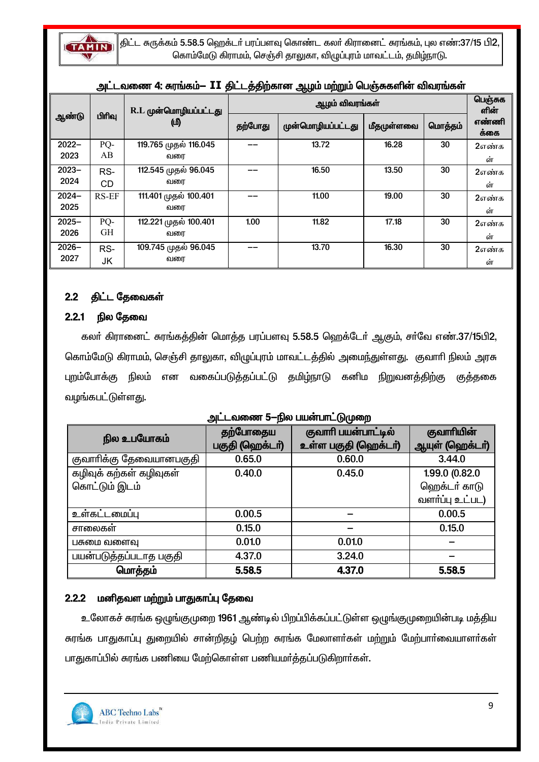

 $|$ திட்ட சுருக்கம் 5.58.5 ஹெக்டா் பரப்பளவு கொண்ட கலா் கிரானைட் சுரங்கம், புல எண்:37/15 பி $2,$ கொம்மேடு கிராமம், செஞ்சி தாலுகா, விழுப்புரம் மாவட்டம், தமிழ்நாடு.

| அட்டவணை 4: சுரங்கம்— II திட்டத்திற்கான ஆழம் மற்றும் வாஞ்சுவான வங்ரங்கள் |           |                             |         |                   |            |         |               |  |
|-------------------------------------------------------------------------|-----------|-----------------------------|---------|-------------------|------------|---------|---------------|--|
|                                                                         | பிரிவு    | R.L முன்மொழியப்பட்டது<br>மு |         | பெஞ்சுக<br>ளின்   |            |         |               |  |
| ஆண்டு                                                                   |           |                             | தற்போது | முன்மொழியப்பட்டது | மீதமுள்ளவை | மொத்தம் | எண்ணி<br>க்கை |  |
| $2022 -$                                                                | PQ-       | 119.765 முதல் 116.045       |         | 13.72             | 16.28      | 30      | 2எண்க         |  |
| 2023                                                                    | AB        | வரை                         |         |                   |            |         | ள்            |  |
| $2023 -$                                                                | RS-       | 112.545 முதல் 96.045        |         | 16.50             | 13.50      | 30      | 2எண்க         |  |
| 2024                                                                    | CD        | வரை                         |         |                   |            |         | ள்            |  |
| $2024 -$                                                                | RS-EF     | 111.401 முதல் 100.401       |         | 11.00             | 19.00      | 30      | 2எண்க         |  |
| 2025                                                                    |           | வரை                         |         |                   |            |         | ள்            |  |
| $2025 -$                                                                | PQ-       | 112.221 முதல் 100.401       | 1.00    | 11.82             | 17.18      | 30      | 2எண்க         |  |
| 2026                                                                    | <b>GH</b> | வரை                         |         |                   |            |         | ள்            |  |
| $2026 -$                                                                | RS-       | 109.745 முதல் 96.045        |         | 13.70             | 16.30      | 30      | 2எண்க         |  |
| 2027                                                                    | JK        | வரை                         |         |                   |            |         | ள்            |  |

### $m = \sum_{i=1}^{n} \sum_{i=1}^{n} \hat{r}_i$

### 2.2 திட்ட தேவைகள்

### 2.2.1 நில தேவை

கலர் கிரானைட் சுரங்கத்தின் மொத்த பரப்பளவு 5.58.5 ஹெக்டேர் ஆகும், சர்வே எண்.37/15பி2, கொம்மேடு கிராமம், செஞ்சி தாலுகா, விழுப்புரம் மாவட்டத்தில் அமைந்துள்ளது. குவாரி நிலம் அரசு புறம்போக்கு நிலம் என வகைப்படுத்தப்பட்டு தமிழ்நாடு கனிம நிறுவனத்திற்கு குத்தகை வழங்கபட்டுள்ளது.

|                         | ັ               |                      |                 |
|-------------------------|-----------------|----------------------|-----------------|
| நில உபயோகம்             | தற்போதைய        | குவாரி பயன்பாட்டில்  | குவாரியின்      |
|                         | பகுதி (ஹெக்டர்) | உள்ள பகுதி (ஹெக்டர்) | ஆயுள் (ஹெக்டர்) |
| குவாாிக்கு தேவையானபகுதி | 0.65.0          | 0.60.0               | 3.44.0          |
| கழிவுக் கற்கள் கழிவுகள் | 0.40.0          | 0.45.0               | 1.99.0 (0.82.0  |
| கொட்டும் இடம்           |                 |                      | ஹெக்டர் காடு    |
|                         |                 |                      | வளர்ப்பு உட்பட) |
| உள்கட்டமைப்பு           | 0.00.5          |                      | 0.00.5          |
| சாலைகள்                 | 0.15.0          |                      | 0.15.0          |
| பசுமை வளைவு             | 0.01.0          | 0.01.0               |                 |
| பயன்படுத்தப்படாத பகுதி  | 4.37.0          | 3.24.0               |                 |
| மொத்தம்                 | 5.58.5          | 4.37.0               | 5.58.5          |

### ுப<sup>்</sup>டவணை 5-நில பயன்பாட்டுமுறை

### 2.2.2 மனிதவள மற்றும் பாதுகாப்பு தேவை

உலோகச் சுரங்க ஒழுங்குமுறை 1961 ஆண்டில் பிறப்பிக்கப்பட்டுள்ள ஒழுங்குமுறையின்படி மத்திய சுரங்க பாதுகாப்பு துறையில் சான்றிதழ் பெற்ற சுரங்க மேலாளர்கள் மற்றும் மேற்பார்வையாளர்கள் பாதுகாப்பில் சுரங்க பணியை மேற்கொள்ள பணியமர்த்தப்படுகிறார்கள்.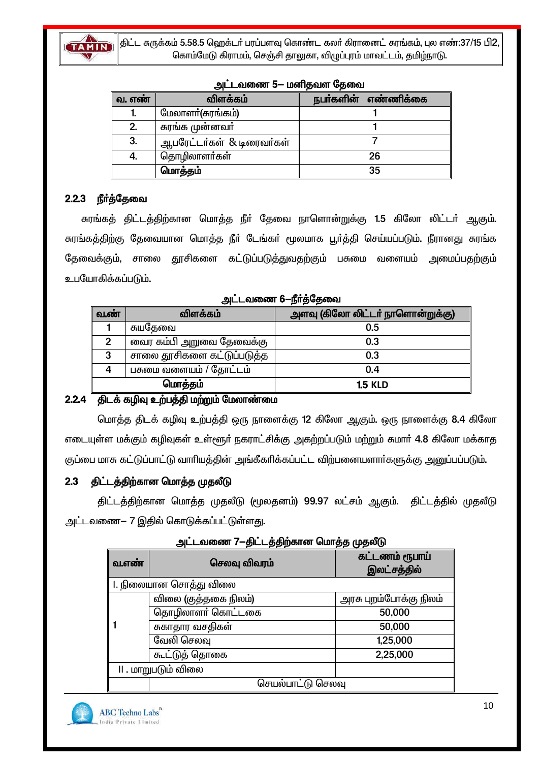

திட்ட சுருக்கம் 5.58.5 ஹெக்டா் பரப்பளவு கொண்ட கலா் கிரானைட் சுரங்கம், புல எண்:37/15 பி2, கொம்மேடு கிராமம், செஞ்சி தாலுகா, விழுப்புரம் மாவட்டம், தமிழ்நாடு.

| வ. எண் | விளக்கம்                  | நபா்களின் எண்ணிக்கை |
|--------|---------------------------|---------------------|
|        | மேலாளா்(சுரங்கம்)         |                     |
| 2.     | சுரங்க முன்னவா்           |                     |
| 3.     | ஆபரேட்டர்கள் & டிரைவர்கள் |                     |
| 4.     | தொழிலாளர்கள்              | 26                  |
|        | மொத்தம்                   | 35                  |

### அட்டவணை 5— மனிதவள கேவை

### 2.2.3 நீர்த்தேவை

சுரங்கத் திட்டத்திற்கான மொத்த நீா் தேவை நாளொன்றுக்கு 1.5 கிலோ லிட்டா் ஆகும். சுரங்கத்திற்கு தேவையான மொத்த நீா் டேங்கா் மூலமாக பூா்த்தி செய்யப்படும். நீரானது சுரங்க தேவைக்கும், சாலை தூசிகளை கட்டுப்படுத்துவதற்கும் பசுமை வளையம் அமைப்பதற்கும் உபயோகிக்கப்படும்.

| அட்டவணை 6—நீா்த்தேவை |  |  |
|----------------------|--|--|
|                      |  |  |

| வ.ண் | விளக்கம்                   | அளவு (கிலோ லிட்டா் நாளொன்றுக்கு) |
|------|----------------------------|----------------------------------|
|      | சுயதேவை                    | 0.5                              |
|      | வைர கம்பி அறுவை தேவைக்கு   | 0.3                              |
| 3    | சாலை தூசிகளை கட்டுப்படுத்த | 0.3                              |
| 4    | பசுமை வளையம் / தோட்டம்     | 0.4                              |
|      | மொத்தம்                    | <b>1.5 KLD</b>                   |

### 2.2.4 திடக் கழிவு உற்பத்தி மற்றும் மேலாண்மை

மொத்த திடக் கழிவு உற்பத்தி ஒரு நாளைக்கு 12 கிலோ ஆகும். ஒரு நாளைக்கு 8.4 கிலோ எடையுள்ள மக்கும் கழிவுகள் உள்ளூர் நகராட்சிக்கு அகற்றப்படும் மற்றும் சுமார் 4.8 கிலோ மக்காத குப்பை மாசு கட்டுப்பாட்டு வாரியத்தின் அங்கீகரிக்கப்பட்ட விற்பனையளார்களுக்கு அனுப்பப்படும்.

#### திட்டத்திற்கான மொத்த முதலீடு  $2.3$

திட்டத்திற்கான மொத்த முதலீடு (மூலதனம்) 99.97 லட்சம் ஆகும். திட்டத்தில் முதலீடு அட்டவணை— 7 இதில் கொடுக்கப்பட்டுள்ளது.

| வ.எண்               | செலவு விவரம்           | கட்டணம் ரூபாய்<br>இலட்சத்தில் |
|---------------------|------------------------|-------------------------------|
|                     | l. நிலையான சொத்து விலை |                               |
|                     | விலை (குத்தகை நிலம்)   | அரசு புறம்போக்கு நிலம்        |
|                     | தொழிலாளர் கொட்டகை      | 50,000                        |
|                     | சுகாதார வசதிகள்        | 50,000                        |
|                     | வேலி செலவு             | 1,25,000                      |
|                     | கூட்டுத் தொகை          | 2,25,000                      |
| II . மாறுபடும் விலை |                        |                               |
|                     | செயல்பாட்டு செலவு      |                               |

|  | அட்டவணை 7—திட்டத்திற்கான மொத்த முதலீடு |  |
|--|----------------------------------------|--|
|  |                                        |  |

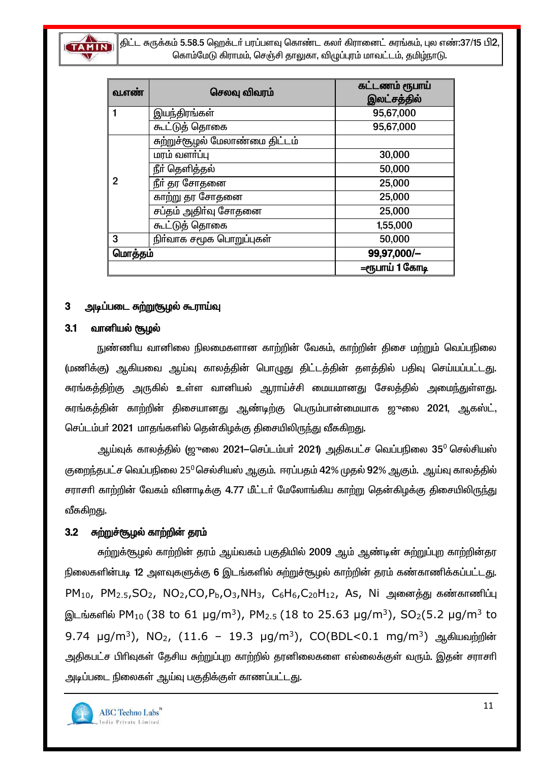

திட்ட சுருக்கம் 5.58.5 ஹெக்டர் பரப்பளவு கொண்ட கலர் கிரானைட் சுரங்கம், புல எண்:37/15 பி2, கொம்மேடு கிராமம், செஞ்சி தாலுகா, விமுப்புரம் மாவட்டம், தமிழ்நாடு.

| வ.எண்   | செலவு விவரம்                   | கட்டணம் ரூபாய்<br>இலட்சத்தில் |
|---------|--------------------------------|-------------------------------|
|         | இயந்திரங்கள்                   | 95,67,000                     |
|         | கூட்டுத் தொகை                  | 95,67,000                     |
| 2       | சுற்றுச்சூழல் மேலாண்மை திட்டம் |                               |
|         | மரம் வளா்ப்பு                  | 30,000                        |
|         | நீா் தெளித்தல்                 | 50,000                        |
|         | நீா் தர சோதனை                  | 25,000                        |
|         | காற்று தர சோதனை                | 25,000                        |
|         | சப்தம் அதிா்வு சோதனை           | 25,000                        |
|         | கூட்டுத் தொகை                  | 1,55,000                      |
| 3       | நிர்வாக சமூக பொறுப்புகள்       | 50,000                        |
| மொத்தம் |                                | 99,97,000/-                   |
|         |                                | =ரூபாய் 1 கோடி                |

#### அடிப்படை சுற்றுசூழல் கூராய்வு 3

#### $3.1$ வானியல் சூழல்

நுண்ணிய வானிலை நிலமைகளான காற்றின் வேகம், காற்றின் திசை மற்றும் வெப்பநிலை (மணிக்கு) ஆகியவை ஆய்வு காலத்தின் பொழுது திட்டத்தின் தளத்தில் பதிவு செய்யப்பட்டது. சுரங்கத்திற்கு அருகில் உள்ள வானியல் ஆராய்ச்சி மையமானது சேலத்தில் அமைந்துள்ளது. சுரங்கத்தின் காற்றின் திசையானது ஆண்டிற்கு பெரும்பான்மையாக ஜுலை 2021, ஆகஸ்ட், செப்டம்பர் 2021 மாதங்களில் தென்கிழக்கு திசையிலிருந்து வீசுகிறது.

ஆய்வுக் காலத்தில் (ஜுலை 2021–செப்டம்பர் 2021) அதிகபட்ச வெப்பநிலை 35<sup>0</sup> செல்சியஸ் குறைந்தபட்ச வெப்பநிலை 25<sup>0</sup>செல்சியஸ் ஆகும். ஈரப்பதம் 42% முதல் 92% ஆகும். ஆய்வு காலத்தில் சராசரி காற்றின் வேகம் வினாடிக்கு 4.77 மீட்டர் மேலோங்கிய காற்று தென்கிழக்கு திசையிலிருந்து வீசுகிறது.

#### $3.2$ சுற்றுச்சூழல் காற்றின் தரம்

சுற்றுக்குழுல் காற்றின் தரம் ஆய்வகம் பகுதியில் 2009 ஆம் ஆண்டின் சுற்றுப்புற காற்றின்தர நிலைகளின்படி 12 அளவுகளுக்கு 6 இடங்களில் சுற்றுச்சூழல் காற்றின் தரம் கண்காணிக்கப்பட்டது.  $PM_{10}$ ,  $PM_{2.5}$ ,SO<sub>2</sub>, NO<sub>2</sub>,CO,P<sub>b</sub>,O<sub>3</sub>,NH<sub>3</sub>, C<sub>6</sub>H<sub>6</sub>,C<sub>20</sub>H<sub>12</sub>, As, Ni அனைத்து கண்காணிப்பு இடங்களில் PM<sub>10</sub> (38 to 61 µg/m<sup>3</sup>), PM<sub>2.5</sub> (18 to 25.63 µg/m<sup>3</sup>), SO<sub>2</sub>(5.2 µg/m<sup>3</sup> to 9.74 μg/m<sup>3</sup>), NO<sub>2</sub>, (11.6 - 19.3 μg/m<sup>3</sup>), CO(BDL<0.1 mg/m<sup>3</sup>) ஆகியவற்றின் அதிகபட்ச பிரிவுகள் தேசிய சுற்றுப்புற காற்றில் தரனிலைகளை எல்லைக்குள் வரும். இதன் சராசரி அடிப்படை நிலைகள் ஆய்வு பகுதிக்குள் காணப்பட்டது.

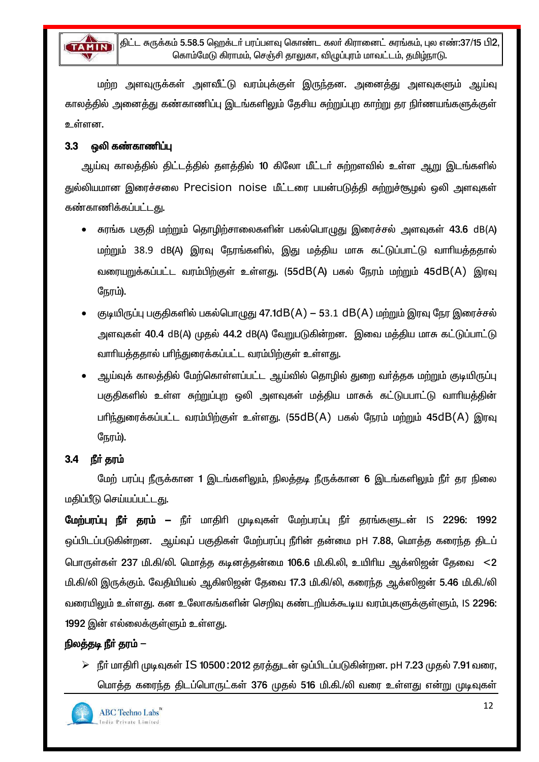

திட்ட சுருக்கம் 5.58.5 ஹெக்டர் பரப்பளவு கொண்ட கலர் கிரானைட் சுரங்கம், புல எண்:37/15 பி2, கொம்மேடு கிராமம், செஞ்சி தாலுகா, விமுப்புரம் மாவட்டம், தமிழ்நாடு.

மற்ற அளவுருக்கள் அளவீட்டு வரம்புக்குள் இருந்தன. அனைத்து அளவுகளும் ஆய்வு காலக்கில் அனைக்து கண்காணிப்பு இடங்களிலும் தேசிய சுற்றுப்புற காற்று தர நிர்ணயங்களுக்குள் உள்ளன.

#### $3.3$ ஒலி கண்காணிப்பு

ஆய்வு காலத்தில் திட்டத்தில் தளத்தில் 10 கிலோ மீட்டர் சுற்றளவில் உள்ள ஆறு இடங்களில் துல்லியமான இரைச்சலை Precision noise மீட்டரை பயன்படுத்தி சுற்றுச்சூழல் ஒலி அளவுகள் கண்காணிக்கப்பட்டது.

- கரங்க பகுதி மற்றும் தொழிற்சாலைகளின் பகல்பொழுது இரைச்சல் அளவுகள் 43.6 dB(A) மற்றும் 38.9 dB(A) இரவு நேரங்களில், இது மத்திய மாசு கட்டுப்பாட்டு வாரியத்ததால் வரையறுக்கப்பட்ட வரம்பிற்குள் உள்ளது. (55dB(A) பகல் நேரம் மற்றும் 45dB(A) இரவு நேரம்).
- குடியிருப்பு பகுதிகளில் பகல்பொழுது 47.1dB(A) 53.1 dB(A) மற்றும் இரவு நேர இரைச்சல் அளவுகள் 40.4 dB(A) முதல் 44.2 dB(A) வேறுபடுகின்றன. இவை மக்திய மாசு கட்டுப்பாட்டு வாரியத்ததால் பரிந்துரைக்கப்பட்ட வரம்பிற்குள் உள்ளது.
- ஆய்வுக் காலத்தில் மேற்கொள்ளப்பட்ட ஆய்வில் தொழில் துறை வா்த்தக மற்றும் குடியிருப்பு பகுதிகளில் உள்ள சுற்றுப்புற ஒலி அளவுகள் மத்திய மாசுக் கட்டுபபாட்டு வாரியத்தின் பரிந்துரைக்கப்பட்ட வரம்பிற்குள் உள்ளது. (55dB(A) பகல் நேரம் மற்றும் 45dB(A) இரவு நேரம்).

#### $3.4$ நீர் கரம்

மேற் பரப்பு நீருக்கான 1 இடங்களிலும், நிலத்தடி நீருக்கான 6 இடங்களிலும் நீா் தர நிலை மதிப்பீடு செய்யப்பட்டது.

மேற்பரப்பு நீர் தரம் – நீர் மாதிரி முடிவுகள் மேற்பரப்பு நீர் தரங்களுடன் IS 2296: 1992 ஒப்பிடப்படுகின்றன. ஆய்வுப் பகுதிகள் மேற்பரப்பு நீரின் தன்மை pH 7.88, மொத்த கரைந்த திடப் பொருள்கள் 237 மி.கி/லி. மொத்த கடினத்தன்மை 106.6 மி.கி.லி, உயிரிய ஆக்ஸிஜன் தேவை <2 மி.கி/லி இருக்கும். வேதியியல் ஆகிஸிஜன் தேவை 17.3 மி.கி/லி, கரைந்த ஆக்ஸிஜன் 5.46 மி.கி./லி வரையிலும் உள்ளது. கன உலோகங்களின் செறிவு கண்டறியக்கூடிய வரம்புகளுக்குள்ளும், IS 2296: 1992 இன் எல்லைக்குள்ளும் உள்ளது.

### நிலத்தடி நீர் தரம் —

≽ நீர் மாதிரி முடிவுகள் IS 10500 : 2012 தரத்துடன் ஒப்பிடப்படுகின்றன. pH 7.23 முதல் 7.91 வரை, மொத்த கரைந்த திடப்பொருட்கள் 376 முதல் 516 மி.கி./லி வரை உள்ளது என்று முடிவுகள்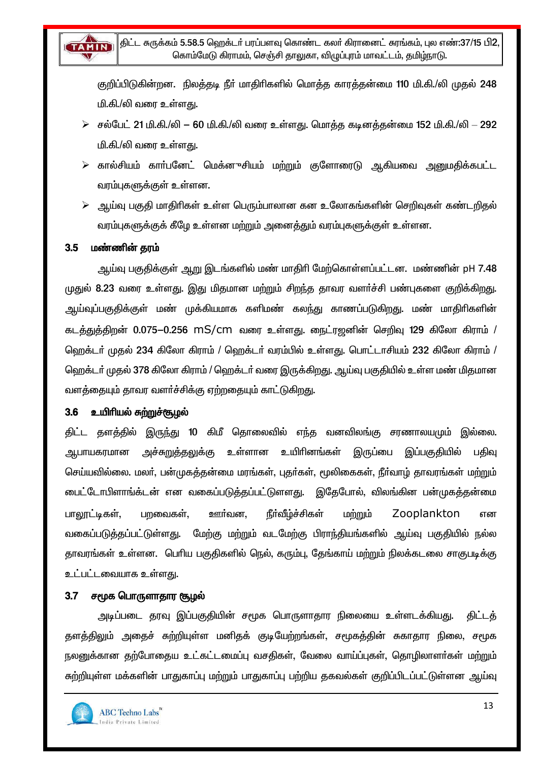

குறிப்பிடுகின்றன. நிலத்தடி நீர் மாதிரிகளில் மொத்த காரத்தன்மை 110 மி.கி./லி முதல் 248 மி.கி./லி வரை உள்ளது.

- $\triangleright$  சல்பேட் 21 மி.கி./லி 60 மி.கி./லி வரை உள்ளது. மொத்த கடினத்தன்மை 152 மி.கி./லி 292 <u>மி.கி./லி வரை உள்ளது.</u>
- கால்சியம் காா்பனேட் மெக்னுசியம் மற்றும் குளோரைடு ஆகியவை அனுமதிக்கபட்ட வரம்புகளுக்குள் உள்ளன.
- ஆய்வு பகுதி மாதிரிகள் உள்ள பெரும்பாலான கன உலோகங்களின் செறிவுகள் கண்டறிதல்  $\blacktriangleright$ வரம்புகளுக்குக் கீழே உள்ளன மற்றும் அனைத்தும் வரம்புகளுக்குள் உள்ளன.

#### $3.5$ மண்ணின் தரம்

ஆய்வு பகுதிக்குள் ஆறு இடங்களில் மண் மாதிரி மேற்கொள்ளப்பட்டன. மண்ணின் pH 7.48 முதுல் 8.23 வரை உள்ளது. இது மிதமான மற்றும் சிறந்த தாவர வளர்ச்சி பண்புகளை குறிக்கிறது. ஆய்வுப்பகுதிக்குள் மண் முக்கியமாக களிமண் கலந்து காணப்படுகிறது. மண் மாதிரிகளின் கடத்துத்திறன் 0.075—0.256 mS/cm வரை உள்ளது. நைட்ரஜனின் செறிவு 129 கிலோ கிராம் / ஹெக்டர் முதல் 234 கிலோ கிராம் / ஹெக்டர் வரம்பில் உள்ளது. பொட்டாசியம் 232 கிலோ கிராம் / ஹெக்டா் முதல் 378 கிலோ கிராம் / ஹெக்டா் வரை இருக்கிறது. ஆய்வு பகுதியில் உள்ள மண் மிதமான வளத்தையும் தாவர வளர்ச்சிக்கு ஏற்றதையும் காட்டுகிறது.

### 3.6 உயிரியல் சுற்றுச்சூழல்

திட்ட தளத்தில் இருந்து 10 கிமீ தொலைவில் எந்த வனவிலங்கு சரணாலயமும் இல்லை. ஆபாயகரமான அச்சுறுத்<u>தலு</u>க்கு உள்ளான உயிரினங்கள் இருப்பை இப்பகுதியில் பகிவ செய்யவில்லை. மலா், பன்முகத்தன்மை மரங்கள், புதா்கள், மூலிகைகள், நீா்வாழ் தாவரங்கள் மற்றும் ைபட்டோபிளாங்க்டன் என வகைப்படுக்கப்பட்டுளளது. இதேபோல், விலங்கின பன்முகக்கன்மை ஊர்வன. நீர்வீழ்ச்சிகள் பாலூட்டிகள், பறவைகள். மற்றும் Zooplankton என வகைப்படுத்தப்பட்டுள்ளது. மேற்கு மற்றும் வடமேற்கு பிராந்தியங்களில் ஆய்வு பகுதியில் நல்ல தாவரங்கள் உள்ளன. பெரிய பகுதிகளில் நெல், கரும்பு, தேங்காய் மற்றும் நிலக்கடலை சாகுபடிக்கு உட்பட்டவையாக உள்ளது.

### 3.7 சமூக பொருளாதார சூழல்

அடிப்படை தரவு இப்பகுதியின் சமூக பொருளாதார நிலையை உள்ளடக்கியது. கிட்டக் தளத்திலும் அதைச் சுற்றியுள்ள மனிதக் குடியேற்றங்கள், சமூகத்தின் சுகாதார நிலை, சமூக நலனுக்கான தற்போதைய உட்கட்டமைப்பு வசதிகள், வேலை வாய்ப்புகள், தொழிலாளர்கள் மற்றும் சுற்றியுள்ள மக்களின் பாதுகாப்பு மற்றும் பாதுகாப்பு பற்றிய தகவல்கள் குறிப்பிடப்பட்டுள்ளன ஆய்வு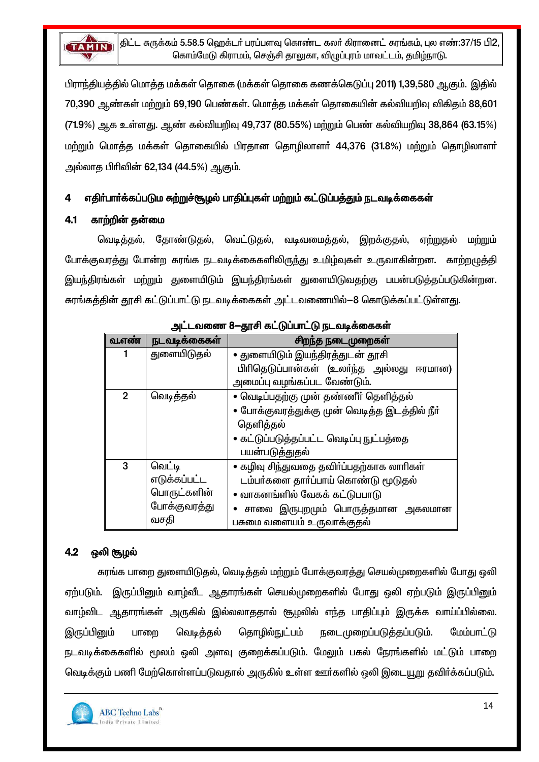

பிராந்தியத்தில் மொத்த மக்கள் தொகை (மக்கள் தொகை கணக்கெடுப்பு 2011) 1,39,580 ஆகும். இதில் 70,390 ஆண்கள் மற்றும் 69,190 பெண்கள். மொக்கு மக்கள் கொகையின் கல்வியறிவு விகிகும் 88,601 (71.9%) ஆக உள்ளது. ஆண் கல்வியறிவு 49.737 (80.55%) மற்றும் பெண் கல்வியறிவு 38,864 (63.15%) மற்றும் மொத்த மக்கள் தொகையில் பிரதான தொழிலாளர் 44,376 (31.8%) மற்றும் தொழிலாளர் அல்லாத பிரிவின் 62,134 (44.5%) ஆகும்.

#### எதிர்பார்க்கப்படும சுற்றுச்சூழல் பாதிப்புகள் மற்றும் கட்டுப்பத்தும் நடவடிக்கைகள் 4

#### $4.1$ காற்றின் தன்மை

வெடித்தல், தோண்டுதல், வெட்டுதல், வடிவமைத்தல், இறக்குதல், ஏற்றுகல் மற்றும் போக்குவரத்து போன்ற சுரங்க நடவடிக்கைகளிலிருந்து உமிழ்வுகள் உருவாகின்றன. காற்றழுத்தி இயந்திரங்கள் மற்றும் துளையிடும் இயந்திரங்கள் துளையிடுவதற்கு பயன்படுத்தப்படுகின்றன. கரங்கத்தின் தூசி கட்டுப்பாட்டு நடவடிக்கைகள் அட்டவணையில்—8 கொடுக்கப்பட்டுள்ளது.

| <del>-------</del><br><u>gro.communico</u> .groupo.com |                                                               |                                                                                                                                                                                    |  |  |
|--------------------------------------------------------|---------------------------------------------------------------|------------------------------------------------------------------------------------------------------------------------------------------------------------------------------------|--|--|
| வ.எண்                                                  | நடவடிக்கைகள்                                                  | சிறந்த நடைமுறைகள்                                                                                                                                                                  |  |  |
|                                                        | துளையிடுதல்                                                   | • துளையிடும் இயந்திரத்துடன் தூசி<br>பிரிதெடுப்பான்கள் (உலர்ந்த அல்லது ஈரமான)<br>அமைப்பு வழங்கப்பட வேண்டும்.                                                                        |  |  |
| 2 <sup>1</sup>                                         | வெடித்தல்                                                     | • வெடிப்பதற்கு முன் தண்ணீா் தெளித்தல்<br>• போக்குவரத்துக்கு முன் வெடித்த இடத்தில் நீா்<br>தெளித்தல்<br>• கட்டுப்படுத்தப்பட்ட வெடிப்பு நுட்பத்தை<br>பயன்படுத்துதல்                  |  |  |
| 3                                                      | வெட்டி<br>எடுக்கப்பட்ட<br>பொருட்களின்<br>போக்குவரத்து<br>வசதி | • கழிவு சிந்துவதை தவிா்ப்பதற்காக லாாிகள்<br>டம்பா்களை தாா்ப்பாய் கொண்டு மூடுதல்<br>• வாகனங்ளில் வேகக் கட்டுபபாடு<br>சாலை இருபுறமும் பொருத்தமான அகலமான<br>பசுமை வளையம் உருவாக்குதல் |  |  |

| அட்டவணை 8—தூசி கட்டுப்பாட்டு நடவடிக்கைகள் |  |  |  |
|-------------------------------------------|--|--|--|
|                                           |  |  |  |

#### $4.2$ ஒலி சூழல்

சுரங்க பாறை துளையிடுதல், வெடித்தல் மற்றும் போக்குவரத்து செயல்முறைகளில் போது ஒலி இருப்பினும் வாழ்வீட ஆதாரங்கள் செயல்முறைகளில் போது ஒலி ஏற்படும் இருப்பினும் ஏற்படும். வாழ்விட ஆதாரங்கள் அருகில் இல்லலாததால் சூழலில் எந்த பாதிப்பும் இருக்க வாய்ப்பில்லை. இருப்பினும் வெடித்தல் கொமில்நுட்பம் நடைமுறைப்படுத்தப்படும். மேம்பாட்டு பாறை நடவடிக்கைகளில் மூலம் ஒலி அளவு குறைக்கப்படும். மேலும் பகல் நேரங்களில் மட்டும் பாறை வெடிக்கும் பணி மேற்கொள்ளப்படுவதால் அருகில் உள்ள ஊர்களில் ஒலி இடையூறு தவிர்க்கப்படும்.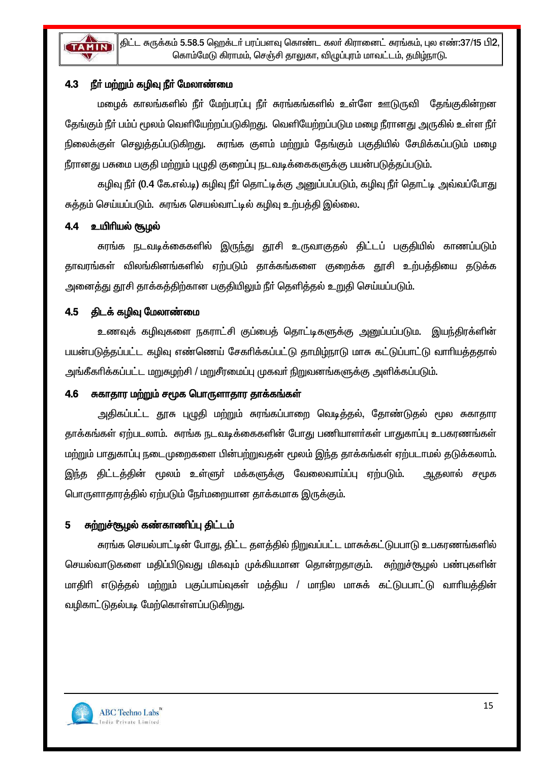

#### நீா் மற்றும் கழிவு நீா் மேலாண்மை 4.3

மழைக் காலங்களில் நீா் மேற்பரப்பு நீா் சுரங்கங்களில் உள்ளே ஊடுருவி தேங்குகின்றன தேங்கும் நீர் பம்ப் மூலம் வெளியேற்றப்படுகிறது. வெளியேற்றப்படும மழை நீரானது அருகில் உள்ள நீர் நிலைக்குள் செலுத்தப்படுகிறது. கரங்க குளம் மற்றும் தேங்கும் பகுதியில் சேமிக்கப்படும் மழை நீரானது பசுமை பகுதி மற்றும் புழுதி குறைப்பு நடவடிக்கைகளுக்கு பயன்படுத்தப்படும்.

கழிவு நீா் (0.4 கே.எல்.டி) கழிவு நீா் தொட்டிக்கு அனுப்பப்படும், கழிவு நீா் தொட்டி அவ்வப்போது சுத்தம் செய்யப்படும். சுரங்க செயல்வாட்டில் கழிவு உற்பத்தி இல்லை.

### 4.4 உயிரியல் சூழல்

சுரங்க நடவடிக்கைகளில் இருந்து தூசி உருவாகுதல் திட்டப் பகுதியில் காணப்படும் தாவரங்கள் விலங்கினங்களில் ஏற்படும் தாக்கங்களை குறைக்க தூசி உற்பத்தியை தடுக்க அனைத்து தூசி தாக்கத்திற்கான பகுதியிலும் நீர் தெளித்தல் உறுதி செய்யப்படும்.

### 4.5 திடக் கழிவு மேலாண்மை

உணவுக் கழிவுகளை நகராட்சி குப்பைக் கொட்டிகளுக்கு அனுப்பப்படும. இயந்திரக்ளின் பயன்படுத்தப்பட்ட கழிவு எண்ணெய் சேகரிக்கப்பட்டு தாமிம்நாடு மாசு கட்டுப்பாட்டு வாரியத்ததால் அங்கீகரிக்கப்பட்ட மறுசுழற்சி / மறுசீரமைப்பு முகவர் நிறுவனங்களுக்கு அளிக்கப்படும்.

### 4.6 சுகாதார மற்றும் சமூக பொருளாதார தாக்கங்கள்

அதிகப்பட்ட தூசு புழுதி மற்றும் சுரங்கப்பாறை வெடித்தல், தோண்டுதல் மூல சுகாகார தாக்கங்கள் ஏற்படலாம். சுரங்க நடவடிக்கைகளின் போது பணியாளர்கள் பாதுகாப்பு உபகரணங்கள் மற்றும் பாதுகாப்பு நடைமுறைகளை பின்பற்றுவதன் மூலம் இந்த தாக்கங்கள் ஏற்படாமல் தடுக்கலாம். இந்த திட்டத்தின் மூலம் உள்ளுர் மக்களுக்கு வேலைவாய்ப்பு ஏற்படும். ஆதலால் சமூக பொருளாதாரத்தில் ஏற்படும் நேர்மறையான தாக்கமாக இருக்கும்.

#### சுற்றுச்சூழல் கண்காணிப்பு திட்டம்  $5<sup>1</sup>$

சுரங்க செயல்பாட்டின் போது, திட்ட தளத்தில் நிறுவப்பட்ட மாசுக்கட்டுபபாடு உபகரணங்களில் செயல்வாடுகளை மதிப்பிடுவது மிகவும் முக்கியமான தொன்றதாகும். சுற்றுச்சூழல் பண்புகளின் மாதிரி எடுத்தல் மற்றும் பகுப்பாய்வுகள் மத்திய / மாநில மாசுக் கட்டுபபாட்டு வாரியத்தின் வழிகாட்டுதல்படி மேற்கொள்ளப்படுகிறது.

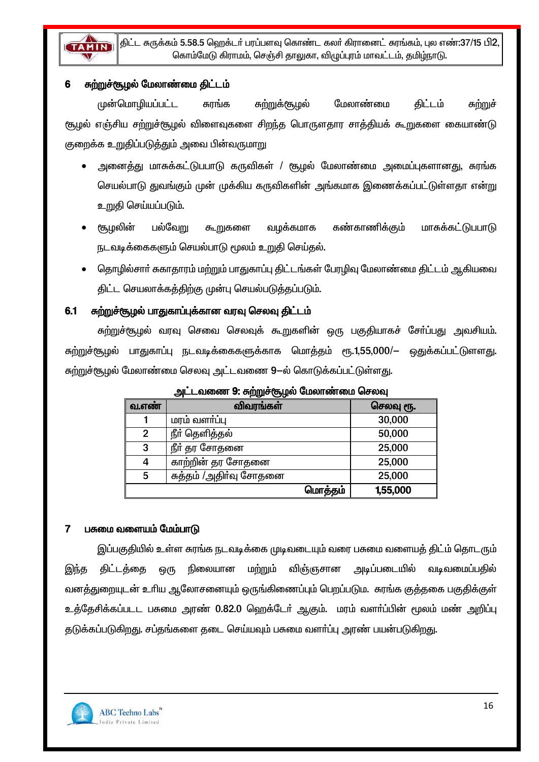

#### சுற்றுச்சூழல் மேலாண்மை திட்டம்  $6\phantom{1}$

முன்மொழியப்பட்ட ௬௱ஂ௱௹௷௸ மேலாண்மை சுாங்க கிட்டம் சுற்றுச் சூழல் எஞ்சிய சற்றுச்சூழல் விளைவுகளை சிறந்த பொருளதார சாத்தியக் கூறுகளை கையாண்டு குறைக்க உறுதிப்படுத்தும் அவை பின்வருமாறு

- அனைத்து மாசுக்கட்டுபபாடு கருவிகள் / சூமல் மேலாண்மை அமைப்புகளானது, சுரங்க செயல்பாடு துவங்கும் முன் முக்கிய கருவிகளின் அங்கமாக இணைக்கப்பட்டுள்ளதா என்று உறுதி செய்யப்படும்.
- கண்காணிக்கும் சூழலின் பல்வேறு கூறுகளை வழக்கமாக மாசுக்கட்டுபபாடு நடவடிக்கைகளும் செயல்பாடு மூலம் உறுதி செய்தல்.
- தொழில்சாா் சுகாதாரம் மற்றும் பாதுகாப்பு திட்டங்கள் பேரமிவு மேலாண்மை திட்டம் ஆகியவை திட்ட செயலாக்கத்திற்கு முன்பு செயல்படுத்தப்படும்.

#### சுற்றுச்சூழல் பாதுகாப்புக்கான வரவு செலவு திட்டம்  $6.1$

சுற்றுச்சூழல் வரவு செவை செலவுக் கூறுகளின் ஒரு பகுதியாகச் சோ்ப்பது அவசியம். சுற்றுச்சூழல் பாதுகாப்பு நடவடிக்கைகளுக்காக மொத்தம் ரூ.1,55,000/— ஒதுக்கப்பட்டுளளது. சுற்றுச்சூழல் மேலாண்மை செலவு அட்டவணை 9—ல் கொடுக்கப்பட்டுள்ளது.

|       | ro vr                  |         |           |
|-------|------------------------|---------|-----------|
| வ.எண் | விவரங்கள்              |         | செலவு ரூ. |
|       | மரம் வளா்ப்பு          |         | 30,000    |
| 2     | நீா் தெளித்தல்         |         | 50,000    |
| 3     | நீர் தர சோதனை          |         | 25,000    |
| 4     | காற்றின் தர சோதனை      |         | 25,000    |
| 5     | சுத்தம் /அதிா்வு சோதனை |         | 25,000    |
|       |                        | மொத்தம் | 1,55,000  |

அட்டவணை 9: சுற்றுச்சூழல் மேலாண்மை செலவு

#### பசுமை வளையம் மேம்பாடு  $\overline{7}$

இப்பகுதியில் உள்ள சுரங்க நடவடிக்கை முடிவடையும் வரை பசுமை வளையத் திட்ம் தொடரும் மற்றும் விஞ்ஞசான அடிப்படையில் கிட்டக்கை நிலையான வடிவமைப்பகில் இந்த ஒரு வனத்துறையுடன் உரிய ஆலோசனையும் ஒருங்கிணைப்பும் பெறப்படும. சுரங்க குத்தகை பகுதிக்குள் உத்தேசிக்கப்படட பசுமை அரண் 0.82.0 ஹெக்டேர் ஆகும். மரம் வளர்ப்பின் மூலம் மண் அறிப்பு தடுக்கப்படுகிறது. சப்தங்களை தடை செய்யவும் பசுமை வளா்ப்பு அரண் பயன்படுகிறது.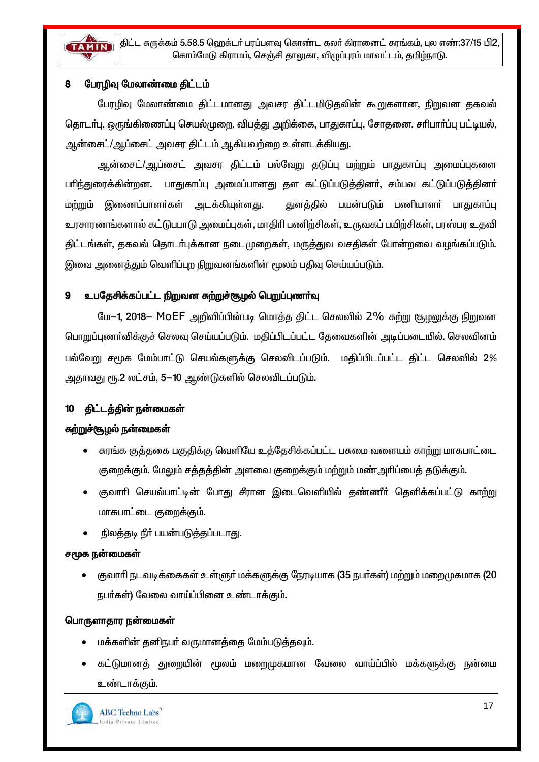

#### பேரழிவு மேலாண்மை திட்டம் 8

பேரமிவு மேலாண்மை திட்டமானது அவசர திட்டமிடுதலின் கூறுகளான, நிறுவன தகவல் தொடர்பு, ஒருங்கிணைப்பு செயல்முறை, விபத்து அறிக்கை, பாதுகாப்பு, சோதனை, சரிபார்ப்பு பட்டியல், ஆன்சைட்/ஆப்சைட் அவசர திட்டம் ஆகியவற்றை உள்ளடக்கியது.

ஆன்சைட்/ஆப்சைட் அவசர திட்டம் பல்வேறு தடுப்பு மற்றும் பாதுகாப்பு அமைப்புகளை பாிந்துரைக்கின்றன. பாதுகாப்பு அமைப்பானது தள கட்டுப்படுத்தினா், சம்பவ கட்டுப்படுத்தினா் மற்றும் இணைப்பாளர்கள் அடக்கியுள்ளது. துளத்தில் பயன்படும் பணியாளர் பாதுகாப்பு உரசாரணங்களால் கட்டுபபாடு அமைப்புகள், மாதிரி பணிற்சிகள், உருவகப் பயிற்சிகள், பரஸ்பர உதவி திட்டங்கள், தகவல் தொடர்புக்கான நடைமுறைகள், மருத்துவ வசதிகள் போன்றவை வழங்கப்படும். இவை அனைத்தும் வெளிப்புற நிறுவனங்களின் மூலம் பதிவு செய்யப்படும்.

#### உபதேசிக்கப்பட்ட நிறுவன சுற்றுச்சூழல் பெறுப்புணர்வு  $\mathbf{q}$

மே–1, 2018– MOEF அறிவிப்பின்படி மொத்த திட்ட செலவில் 2% சுற்று சூழலுக்கு நிறுவன பொறுப்புணா்விக்குச் செலவு செய்யப்படும். மதிப்பிடப்பட்ட தேவைகளின் அடிப்படையில். செலவினம் பல்வேறு சமூக மேம்பாட்டு செயல்களுக்கு செலவிடப்படும். மதிப்பிடப்பட்ட திட்ட செலவில் 2% அதாவது ரூ.2 லட்சம், 5-10 ஆண்டுகளில் செலவிடப்படும்.

### திட்டத்தின் நன்மைகள்

### சுற்றுச்சூழல் நன்மைகள்

- சுரங்க குத்தகை பகுதிக்கு வெளியே உத்தேசிக்கப்பட்ட பசுமை வளையம் காற்று மாசுபாட்டை குறைக்கும். மேலும் சக்குக்கின் அளவை குறைக்கும் மற்றும் மண் அரிப்பைக் கடுக்கும்.
- குவாரி செயல்பாட்டின் போது சீரான இடைவெளியில் தண்ணீர் தெளிக்கப்பட்டு காற்று  $\bullet$ மாசுபாட்டை குறைக்கும்.
- நிலத்தடி நீர் பயன்படுத்தப்படாது.

### சமூக நன்மைகள்

குவாரி நடவடிக்கைகள் உள்ளுர் மக்களுக்கு நேரடியாக (35 நபர்கள்) மற்றும் மறைமுகமாக (20 நபர்கள்) வேலை வாய்ப்பினை உண்டாக்கும்.

### பொருளாதார நன்மைகள்

- மக்களின் தனிநபர் வருமானக்கை மேம்படுக்கவும்.
- கட்டுமானத் துறையின் மூலம் மறைமுகமான வேலை வாய்ப்பில் மக்களுக்கு நன்மை உண்டாக்கும்.